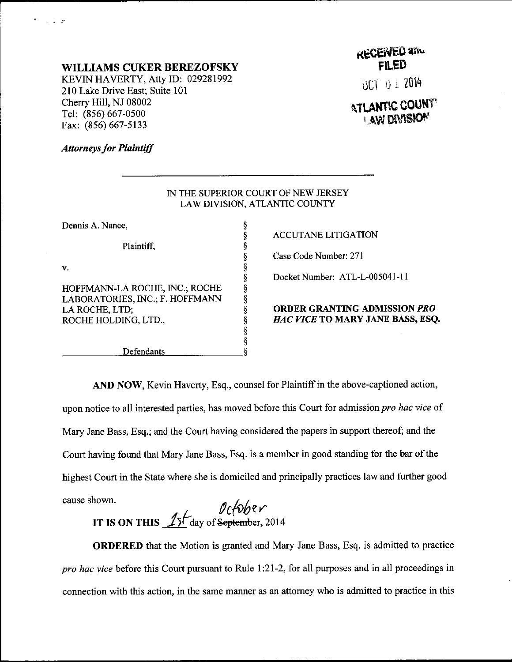#### WILLIAMS CUKER BEREZOFSKY

KEVIN HAVERTY, Atty ID: 029281992 210 Lake Drive East; Suite 101 Cherry Hill, NJ 08002 Tel: (856) 667-0500 Far: (856) 667-5133

# RECEIVED and

OCT O i 2014

### **ATLANTIC COUNT LAW DIVISION**

#### **Attorneys for Plaintiff**

 $\mathcal{L} = \mathcal{L}$ 

|                                 | IN THE SUPERIOR COURT OF NEW JERSEY<br>LAW DIVISION, ATLANTIC COUNTY |
|---------------------------------|----------------------------------------------------------------------|
| Dennis A. Nance,                |                                                                      |
|                                 | <b>ACCUTANE LITIGATION</b>                                           |
| Plaintiff.                      |                                                                      |
|                                 | Case Code Number: 271                                                |
| v.                              |                                                                      |
|                                 | Docket Number: ATL-L-00                                              |
| HOFFMANN-LA ROCHE, INC.; ROCHE  |                                                                      |
| LABORATORIES, INC.; F. HOFFMANN |                                                                      |
| LA ROCHE, LTD;                  | <b>ORDER GRANTING ADN</b>                                            |
| ROCHE HOLDING, LTD.,            | <i>HAC VICE</i> TO MARY JAI                                          |
|                                 |                                                                      |
|                                 |                                                                      |
| Defendants                      |                                                                      |

Docket Number: ATL-L-005041-1 <sup>1</sup>

#### ORDER GRANTING ADMISSION PXO HAC VICE TO MARY JANE BASS, ESQ.

AND NOW, Kevin Haverty, Esq., counsel for Plaintiff in the above-captioned action, upon notice to all interested parties, has moved before this Court for admission pro hac vice of Mary Jane Bass, Esq.; and the Court having considered the papers in support thereof; and the Court having found that Mary Jane Bass, Esq. is a member in good standing for the bar of the highest Court in the State where she is domiciled and principally practices law and further good cause shown.

IT IS ON THIS  $\frac{15}{\sqrt{2}}$  day of <del>September</del>, 2014

ORDERED that the Motion is granted and Mary Jane Bass, Esq. is admitted to practice pro hac yice beforc this Court pursuant to Rule l:21-2, for all purposes and in all proceedings in connection with this action, in the same manner as an attorney who is admitted to practice in this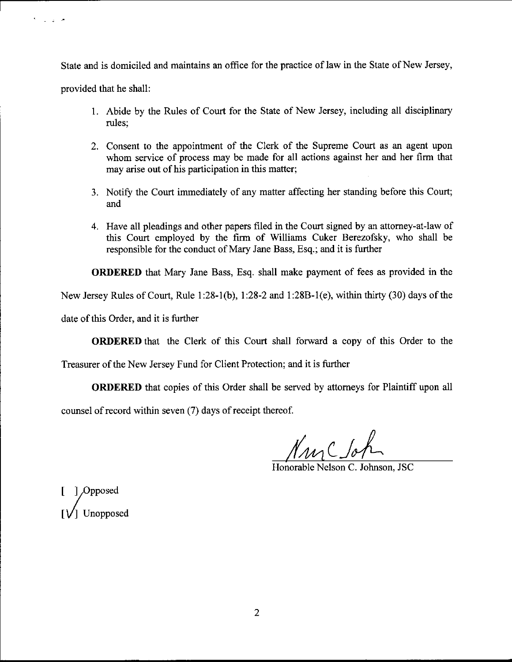State and is domiciled and maintains an office for the practice of law in the State of New Jersey,

provided that he shall:

 $\mathcal{F}^{\pm}$  ,  $\mathcal{F}^{\pm}$  and  $\mathcal{F}^{\pm}$ 

- 1. Abide by the Rules of Court for the State of New Jersey, including all disciplinary rules;
- 2. Consent to the appointment of the Clerk of the Supreme Court as an agent upon whom service of process may be made for all actions against her and her firm that may arise out of his participation in this matter;
- 3. Notify the Court immediately of any matter affecting her standing before this Court; and
- 4. Have all pleadings and other papers filed in the Court signed by an attorney-at-law of this Court employed by the firm of Williams Cuker Berezofsky, who shall be responsible for the conduct of Mary Jane Bass, Esq.; and it is further

ORDERED that Mary Jane Bass, Esq. shall make payment of fees as provided in the

New Jersey Rules of Court, Rule I :28-1(b), 1:28-2 and 1 :28B-1(e), within thirty (30) days of the

date of this Order, and it is further

ORDERED that the Clerk of this Court shall forward a copy of this Order to the

Treasurer of the New Jersey Fund for Client Protection; and it is further

ORDERED that copies of this Order shall be served by attomeys for Plaintiff upon all

counsel of record within seven (7) days of receipt thereof.

<u>MmC</u> Johnson, JSC

] Opposed I Unopposed